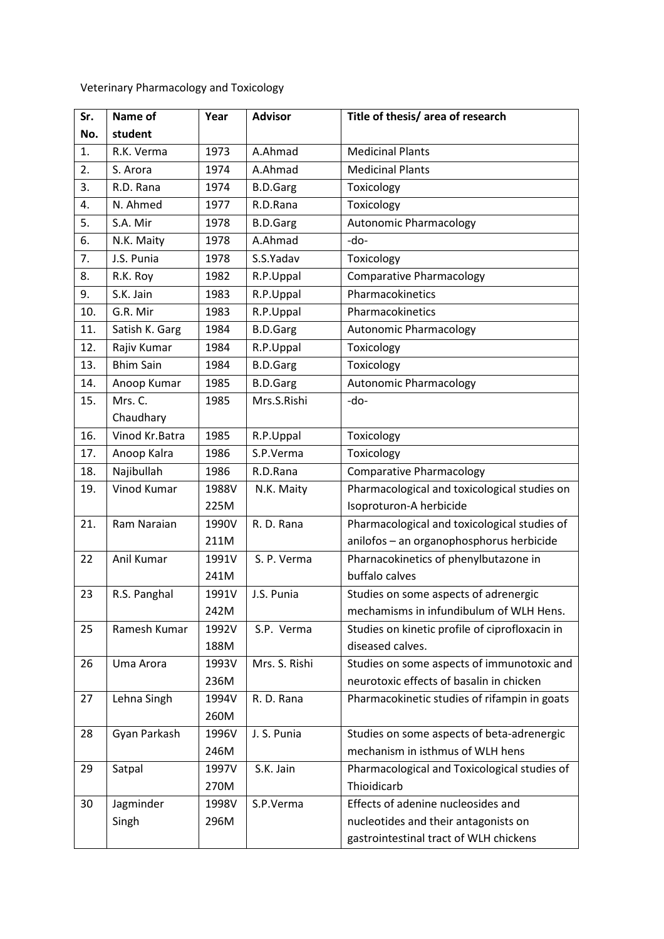Veterinary Pharmacology and Toxicology

| Sr. | Name of          | Year  | <b>Advisor</b>  | Title of thesis/ area of research              |
|-----|------------------|-------|-----------------|------------------------------------------------|
| No. | student          |       |                 |                                                |
| 1.  | R.K. Verma       | 1973  | A.Ahmad         | <b>Medicinal Plants</b>                        |
| 2.  | S. Arora         | 1974  | A.Ahmad         | <b>Medicinal Plants</b>                        |
| 3.  | R.D. Rana        | 1974  | <b>B.D.Garg</b> | Toxicology                                     |
| 4.  | N. Ahmed         | 1977  | R.D.Rana        | Toxicology                                     |
| 5.  | S.A. Mir         | 1978  | <b>B.D.Garg</b> | <b>Autonomic Pharmacology</b>                  |
| 6.  | N.K. Maity       | 1978  | A.Ahmad         | -do-                                           |
| 7.  | J.S. Punia       | 1978  | S.S.Yadav       | Toxicology                                     |
| 8.  | R.K. Roy         | 1982  | R.P.Uppal       | <b>Comparative Pharmacology</b>                |
| 9.  | S.K. Jain        | 1983  | R.P.Uppal       | Pharmacokinetics                               |
| 10. | G.R. Mir         | 1983  | R.P.Uppal       | Pharmacokinetics                               |
| 11. | Satish K. Garg   | 1984  | <b>B.D.Garg</b> | Autonomic Pharmacology                         |
| 12. | Rajiv Kumar      | 1984  | R.P.Uppal       | Toxicology                                     |
| 13. | <b>Bhim Sain</b> | 1984  | <b>B.D.Garg</b> | Toxicology                                     |
| 14. | Anoop Kumar      | 1985  | <b>B.D.Garg</b> | <b>Autonomic Pharmacology</b>                  |
| 15. | Mrs. C.          | 1985  | Mrs.S.Rishi     | $-do-$                                         |
|     | Chaudhary        |       |                 |                                                |
| 16. | Vinod Kr.Batra   | 1985  | R.P.Uppal       | Toxicology                                     |
| 17. | Anoop Kalra      | 1986  | S.P.Verma       | Toxicology                                     |
| 18. | Najibullah       | 1986  | R.D.Rana        | <b>Comparative Pharmacology</b>                |
| 19. | Vinod Kumar      | 1988V | N.K. Maity      | Pharmacological and toxicological studies on   |
|     |                  | 225M  |                 | Isoproturon-A herbicide                        |
| 21. | Ram Naraian      | 1990V | R. D. Rana      | Pharmacological and toxicological studies of   |
|     |                  | 211M  |                 | anilofos - an organophosphorus herbicide       |
| 22  | Anil Kumar       | 1991V | S. P. Verma     | Pharnacokinetics of phenylbutazone in          |
|     |                  | 241M  |                 | buffalo calves                                 |
| 23  | R.S. Panghal     | 1991V | J.S. Punia      | Studies on some aspects of adrenergic          |
|     |                  | 242M  |                 | mechamisms in infundibulum of WLH Hens.        |
| 25  | Ramesh Kumar     | 1992V | S.P. Verma      | Studies on kinetic profile of ciprofloxacin in |
|     |                  | 188M  |                 | diseased calves.                               |
| 26  | Uma Arora        | 1993V | Mrs. S. Rishi   | Studies on some aspects of immunotoxic and     |
|     |                  | 236M  |                 | neurotoxic effects of basalin in chicken       |
| 27  | Lehna Singh      | 1994V | R. D. Rana      | Pharmacokinetic studies of rifampin in goats   |
|     |                  | 260M  |                 |                                                |
| 28  | Gyan Parkash     | 1996V | J. S. Punia     | Studies on some aspects of beta-adrenergic     |
|     |                  | 246M  |                 | mechanism in isthmus of WLH hens               |
| 29  | Satpal           | 1997V | S.K. Jain       | Pharmacological and Toxicological studies of   |
|     |                  | 270M  |                 | Thioidicarb                                    |
| 30  | Jagminder        | 1998V | S.P.Verma       | Effects of adenine nucleosides and             |
|     | Singh            | 296M  |                 | nucleotides and their antagonists on           |
|     |                  |       |                 | gastrointestinal tract of WLH chickens         |